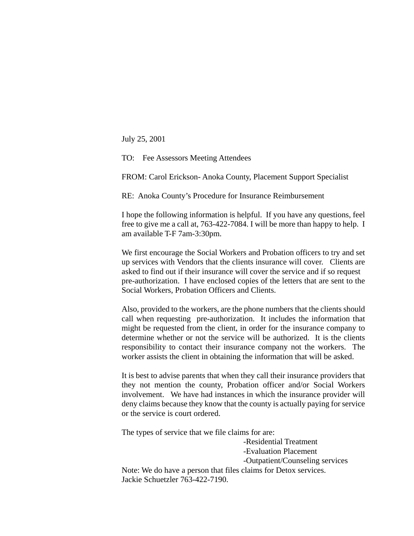July 25, 2001

TO: Fee Assessors Meeting Attendees

FROM: Carol Erickson- Anoka County, Placement Support Specialist

RE: Anoka County's Procedure for Insurance Reimbursement

I hope the following information is helpful. If you have any questions, feel free to give me a call at, 763-422-7084. I will be more than happy to help. I am available T-F 7am-3:30pm.

We first encourage the Social Workers and Probation officers to try and set up services with Vendors that the clients insurance will cover. Clients are asked to find out if their insurance will cover the service and if so request pre-authorization. I have enclosed copies of the letters that are sent to the Social Workers, Probation Officers and Clients.

Also, provided to the workers, are the phone numbers that the clients should call when requesting pre-authorization. It includes the information that might be requested from the client, in order for the insurance company to determine whether or not the service will be authorized. It is the clients responsibility to contact their insurance company not the workers. The worker assists the client in obtaining the information that will be asked.

It is best to advise parents that when they call their insurance providers that they not mention the county, Probation officer and/or Social Workers involvement. We have had instances in which the insurance provider will deny claims because they know that the county is actually paying for service or the service is court ordered.

The types of service that we file claims for are:

-Residential Treatment -Evaluation Placement -Outpatient/Counseling services Note: We do have a person that files claims for Detox services. Jackie Schuetzler 763-422-7190.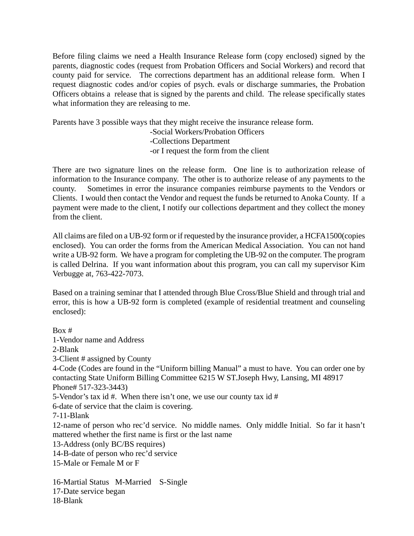Before filing claims we need a Health Insurance Release form (copy enclosed) signed by the parents, diagnostic codes (request from Probation Officers and Social Workers) and record that county paid for service. The corrections department has an additional release form. When I request diagnostic codes and/or copies of psych. evals or discharge summaries, the Probation Officers obtains a release that is signed by the parents and child. The release specifically states what information they are releasing to me.

Parents have 3 possible ways that they might receive the insurance release form. -Social Workers/Probation Officers -Collections Department -or I request the form from the client

There are two signature lines on the release form. One line is to authorization release of information to the Insurance company. The other is to authorize release of any payments to the county. Sometimes in error the insurance companies reimburse payments to the Vendors or Clients. I would then contact the Vendor and request the funds be returned to Anoka County. If a payment were made to the client, I notify our collections department and they collect the money from the client.

All claims are filed on a UB-92 form or if requested by the insurance provider, a HCFA1500(copies enclosed). You can order the forms from the American Medical Association. You can not hand write a UB-92 form. We have a program for completing the UB-92 on the computer. The program is called Delrina. If you want information about this program, you can call my supervisor Kim Verbugge at, 763-422-7073.

Based on a training seminar that I attended through Blue Cross/Blue Shield and through trial and error, this is how a UB-92 form is completed (example of residential treatment and counseling enclosed):

Box # 1-Vendor name and Address 2-Blank 3-Client # assigned by County 4-Code (Codes are found in the "Uniform billing Manual" a must to have. You can order one by contacting State Uniform Billing Committee 6215 W ST.Joseph Hwy, Lansing, MI 48917 Phone# 517-323-3443) 5-Vendor's tax id #. When there isn't one, we use our county tax id # 6-date of service that the claim is covering. 7-11-Blank 12-name of person who rec'd service. No middle names. Only middle Initial. So far it hasn't mattered whether the first name is first or the last name 13-Address (only BC/BS requires) 14-B-date of person who rec'd service 15-Male or Female M or F

16-Martial Status M-Married S-Single 17-Date service began 18-Blank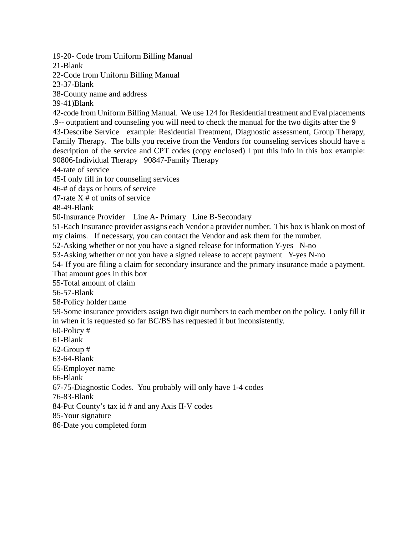19-20- Code from Uniform Billing Manual

21-Blank

22-Code from Uniform Billing Manual

23-37-Blank

38-County name and address

39-41)Blank

42-code from Uniform Billing Manual. We use 124 for Residential treatment and Eval placements .9-- outpatient and counseling you will need to check the manual for the two digits after the 9 43-Describe Service example: Residential Treatment, Diagnostic assessment, Group Therapy, Family Therapy. The bills you receive from the Vendors for counseling services should have a description of the service and CPT codes (copy enclosed) I put this info in this box example: 90806-Individual Therapy 90847-Family Therapy

44-rate of service

45-I only fill in for counseling services

46-# of days or hours of service

47-rate  $X \#$  of units of service

48-49-Blank

50-Insurance Provider Line A- Primary Line B-Secondary

51-Each Insurance provider assigns each Vendor a provider number. This box is blank on most of my claims. If necessary, you can contact the Vendor and ask them for the number.

52-Asking whether or not you have a signed release for information Y-yes N-no

53-Asking whether or not you have a signed release to accept payment Y-yes N-no

54- If you are filing a claim for secondary insurance and the primary insurance made a payment. That amount goes in this box

55-Total amount of claim

56-57-Blank

58-Policy holder name

59-Some insurance providers assign two digit numbers to each member on the policy. I only fill it in when it is requested so far BC/BS has requested it but inconsistently.

60-Policy #

61-Blank

62-Group #

63-64-Blank

65-Employer name

66-Blank

67-75-Diagnostic Codes. You probably will only have 1-4 codes

76-83-Blank

84-Put County's tax id # and any Axis II-V codes

85-Your signature

86-Date you completed form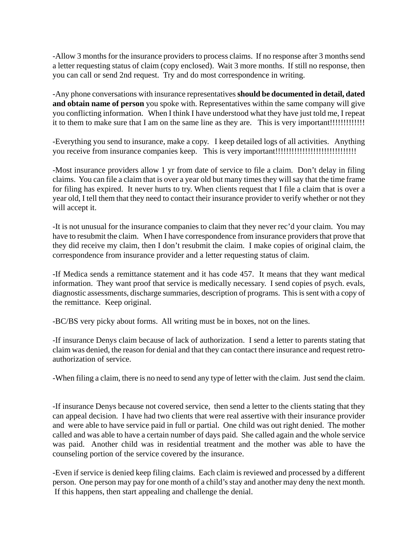-Allow 3 months for the insurance providers to process claims. If no response after 3 months send a letter requesting status of claim (copy enclosed). Wait 3 more months. If still no response, then you can call or send 2nd request. Try and do most correspondence in writing.

-Any phone conversations with insurance representatives **should be documented in detail, dated and obtain name of person** you spoke with. Representatives within the same company will give you conflicting information. When I think I have understood what they have just told me, I repeat it to them to make sure that I am on the same line as they are. This is very important!!!!!!!!!!!!!

-Everything you send to insurance, make a copy. I keep detailed logs of all activities. Anything you receive from insurance companies keep. This is very important!!!!!!!!!!!!!!!!!!!!!!!!!!!!!!

-Most insurance providers allow 1 yr from date of service to file a claim. Don't delay in filing claims. You can file a claim that is over a year old but many times they will say that the time frame for filing has expired. It never hurts to try. When clients request that I file a claim that is over a year old, I tell them that they need to contact their insurance provider to verify whether or not they will accept it.

-It is not unusual for the insurance companies to claim that they never rec'd your claim. You may have to resubmit the claim. When I have correspondence from insurance providers that prove that they did receive my claim, then I don't resubmit the claim. I make copies of original claim, the correspondence from insurance provider and a letter requesting status of claim.

-If Medica sends a remittance statement and it has code 457. It means that they want medical information. They want proof that service is medically necessary. I send copies of psych. evals, diagnostic assessments, discharge summaries, description of programs. This is sent with a copy of the remittance. Keep original.

-BC/BS very picky about forms. All writing must be in boxes, not on the lines.

-If insurance Denys claim because of lack of authorization. I send a letter to parents stating that claim was denied, the reason for denial and that they can contact there insurance and request retroauthorization of service.

-When filing a claim, there is no need to send any type of letter with the claim. Just send the claim.

-If insurance Denys because not covered service, then send a letter to the clients stating that they can appeal decision. I have had two clients that were real assertive with their insurance provider and were able to have service paid in full or partial. One child was out right denied. The mother called and was able to have a certain number of days paid. She called again and the whole service was paid. Another child was in residential treatment and the mother was able to have the counseling portion of the service covered by the insurance.

-Even if service is denied keep filing claims. Each claim is reviewed and processed by a different person. One person may pay for one month of a child's stay and another may deny the next month. If this happens, then start appealing and challenge the denial.